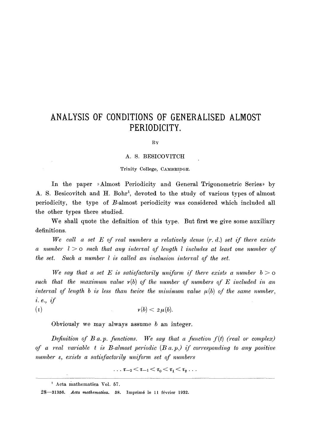## **ANALYSIS OF CONDITIONS OF GENERALISED ALMOST PERIODICITY.**

BY

## A. S. BESICOVITCH

## Trinity College, CAMBRIDGE.

In the paper »Almost Periodicity and General Trigonometric Series» by A. S. Besicovitch and H. Bohr<sup>1</sup>, devoted to the study of various types of almost periodicity, the type of B-almost periodicity was considered which included all the other types there studied.

We shall quote the definition of this type. But first we give some auxiliary definitions.

*We call a set E of real numbers a relatively dense (r. d.) set if there exists a number 1 > o such that any interval of length 1 includes at least one number of the set. Such a number 1 is called an inclusion interval of the set.* 

We say that a set E is satisfactorily uniform if there exists a number  $b > o$ such that the maximum value  $v(b)$  of the number of numbers of  $E$  included in an *interval of length b is less than twice the minimum value*  $\mu(b)$  *of the same number, i.e.,if* 

 $\nu(b) < 2 \mu(b)$ .  $(1)$ 

Obviously we may always assume  $b$  an integer.

*Definition of B a.p. functions. We say that a function*  $f(t)$  *(real or complex) of a real variable t is B-almost periodic (B a.p.) if corresponding to any positive number e, exists" a satisfactorily uniform set of numbers* 

$$
\dots \tau_{-2}\!<\!\tau_{-1}\!<\!\tau_0\!<\!\tau_1\!<\!\tau_2 \dots
$$

 $<sup>1</sup>$  Acta mathematica Vol. 57.</sup>

<sup>28-31356.</sup> Acta mathematica. 58. Imprimé le 11 février 1932.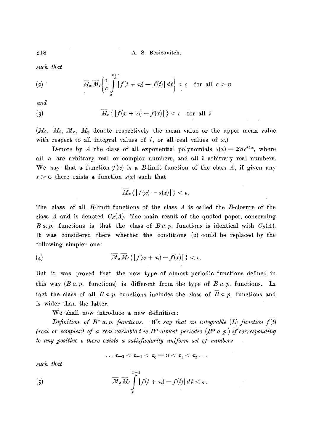218 A. S. Besicovitch.

*such that* 

$$
(2) \hspace{1cm} \overline{M}_x \,\overline{M}_i \bigg\{ \frac{1}{c} \int\limits_x^{x+c} \big| f(t+\tau_i) - f(t) \big| \, dt \bigg\} < \varepsilon \quad \text{for all} \ \ c > 0
$$

*and* 

$$
(3) \t\t \overline{M}_x\{|f(x+\tau_i)-f(x)|\}<\varepsilon \quad \text{for all } i
$$

 $(M_i, M_i, M_x, M_x)$  denote respectively the mean value or the upper mean value with respect to all integral values of  $i$ , or all real values of  $x$ .)

Denote by A the class of all exponential polynomials  $s(x) = \sum a e^{i\lambda x}$ , where all a are arbitrary real or complex numbers, and all  $\lambda$  arbitrary real numbers. We say that a function  $f(x)$  is a B-limit function of the class A, if given any  $\varepsilon > 0$  there exists a function  $s(x)$  such that

$$
\overline{M}_x\{\|f(x)-s(x)\|\}<\varepsilon.
$$

The class of all B-limit functions of the class A is called the B-closure of the class A and is denoted  $C_B(A)$ . The main result of the quoted paper, concerning *B a.p.* functions is that the class of *B a.p.* functions is identical with  $C_B(A)$ . It was considered there whether the conditions  $(z)$  could be replaced by the following simpler one:

$$
(4) \qquad \qquad \overline{M}_x \, \overline{M}_i \, \{ \, |f(x + \tau_i) - f(x)| \, \} < \varepsilon
$$

But it was proved that the new type of almost periodic functions defined in this way *(Ba.p.* functions) is different from the type of *B a.p.* functions. In fact the class of all *B a.p.* functions includes the class of *B a.p.* functions and is wider than the latter.

We shall now introduce a new definition:

*Definition of*  $B^*$  *a.p. functions.* We say that an integrable  $(L)$  function  $f(t)$ *(real or complex) of a real variable t is B\*-almost periodic (B\* a.p.) if corresponding to any positive a there exists a satisfactorily uniform set of numbers* 

$$
\ldots \tau_{-2}<\tau_{-1}<\tau_{0}=\text{0}<\tau_{1}<\tau_{2}\ldots
$$

*such that* 

(5) 
$$
\overline{M}_x \overline{M}_i \int_x^{x+1} |f(t + \tau_i) - f(t)| dt < \varepsilon.
$$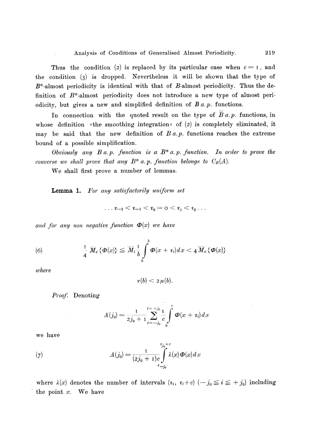Thus the condition (2) is replaced by its particular case when  $c = 1$ , and the condition (3) is dropped. Nevertheless it will be shown that the type of  $B^*$ -almost periodicity is identical with that of  $B$ -almost periodicity. Thus the definition of  $B^*$ -almost periodicity does not introduce a new type of almost periodicity, but gives a new and simplified definition of *B a.p.* functions.

In connection with the quoted result on the type of  $\overline{B}a$ ,  $p$ , functions, in whose definition  $\rightarrow$  the smoothing integration $\rightarrow$  of (2) is completely eliminated, it may be said that the new definition of  $B a.p$  functions reaches the extreme bound of a possible simplification.

*Obviously any B a.p. function is a B\* a.p. function. In order to prove the converse we shall prove that any B<sup>\*</sup> a.p. function belongs to*  $C_B(A)$ *.* 

We shall first prove a number of lemmas.

Lemma 1. For any satisfactorily uniform set

$$
\ldots \tau_{-2}<\tau_{-1}<\tau_{0}=\textsf{0}<\tau_{1}<\tau_{2}\ldots
$$

and for any non negative function  $\Phi(x)$  we have

(6) 
$$
\frac{1}{4} \overline{M}_x \{\mathbf{\Phi}(x)\} \leq \overline{M}_i \frac{1}{b} \int_0^b \mathbf{\Phi}(x+\tau_i) dx < 4 \overline{M}_x \{\mathbf{\Phi}(x)\}
$$

*where* 

$$
v(b) < 2\,\mu(b).
$$

*Proof.* Denoting

$$
A(j_0) = \frac{1}{2j_0 + 1} \sum_{i = -j_0}^{i = +j_0} \frac{1}{c} \int_0^c \boldsymbol{\Phi}(x + \tau_i) dx
$$

we have

(7) 
$$
A(j_0) = \frac{1}{(2j_0 + 1)c} \int_{\tau_{-j_0}}^{\tau_{j_0} + c} \lambda(x) \Phi(x) dx
$$

where  $\lambda(x)$  denotes the number of intervals  $(r_i, r_i+c)$   $(-j_0 \le i \le +j_0)$  including the point  $x$ . We have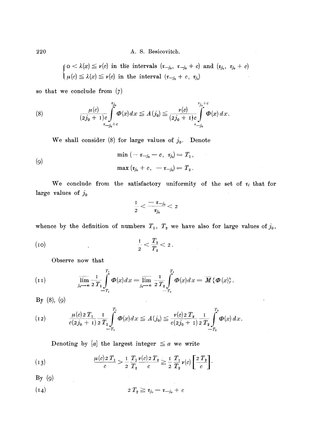220 A. S. Besieovitch.

 $\alpha < \lambda(x) \leq \nu(c)$  in the intervals  $(\tau_{-i_0}, \tau_{-i_0} + c)$  and  $(\tau_{i_0}, \tau_{i_0} + c)$  $\mu(c) \leq \lambda(x) \leq \nu(c)$  in the interval  $(\tau_{-j_0} + c, \tau_{j_0})$ 

so that we conclude from  $(7)$ 

(8) 
$$
\frac{\mu(c)}{(2j_0+1)c} \int_{\tau_{-j_0}+c}^{\tau_{j_0}} \Phi(x) dx \leq A(j_0) \leq \frac{\nu(c)}{(2j_0+1)c} \int_{\tau_{-j_0}+c}^{\tau_{j_0}+c} \Phi(x) dx.
$$

We shall consider (8) for large values of  $j_0$ . Denote

(9)  
\n
$$
\min (-\tau_{-j_0} - c, \tau_{j_0}) = T_1,
$$
\n
$$
\max (\tau_{j_0} + c, -\tau_{-j_0}) = T_2.
$$

We conclude from the satisfactory uniformity of the set of  $\tau_i$  that for large values of  $j_0$ 

$$
\frac{1}{2}<\frac{-\;\tau_{\to j_0}}{\tau_{j_0}}<\,2
$$

whence by the definition of numbers  $T_1$ ,  $T_2$  we have also for large values of  $j_0$ ,

(10) 
$$
\frac{1}{2} < \frac{T_1}{T_2} < 2.
$$

Observe now that

$$
(11) \qquad \qquad \overline{\lim_{j_0 \to \infty}} \frac{1}{2} \prod_{T_1}^{T_1} \Phi(x) dx = \overline{\lim_{j_0 \to \infty}} \frac{1}{2} \prod_{T_2}^{T_2} \Phi(x) dx = \overline{M} \{ \Phi(x) \}.
$$

 $By (8), (9)$ 

(12) 
$$
\frac{\mu(c) \, 2 \, T_1}{c(2 \, j_0 + 1)} \frac{1}{2 \, T_1} \int_{-T_1}^{T_1} \Phi(x) \, dx \leq A(j_0) \leq \frac{\nu(c) \, 2 \, T_2}{c(2 \, j_0 + 1)} \frac{1}{2 \, T_2} \int_{-T_2}^{T_2} \Phi(x) \, dx.
$$

Denoting by [a] the largest integer  $\le a$  we write

(13) 
$$
\frac{\mu(c) \, 2 \, T_1}{c} > \frac{1}{2} \frac{T_1}{T_2} \frac{\nu(c) \, 2 \, T_2}{c} \geq \frac{1}{2} \frac{T_1}{T_2} \nu(c) \left[ \frac{2 \, T_2}{c} \right]
$$

 $By (9)$ 

(14) 
$$
2 T_2 \geqq \tau_{j_0} - \tau_{-j_0} + c
$$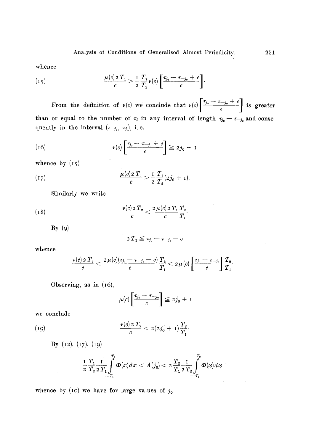whence

(15) 
$$
\frac{\mu(c) \, 2 \, T_1}{c} > \frac{1}{2} \, \frac{T_1}{T_2} \, \nu(c) \left[ \frac{\tau_{j_0} - \tau_{-j_0} + c}{c} \right].
$$

From the definition of  $v(c)$  we conclude that  $v(c)$   $\left[\frac{v_j_0 - z_{j_0} + c}{z}\right]$  is greater  $\begin{array}{ccc} & c & \end{array}$ than or equal to the number of  $\tau_i$  in any interval of length  $\tau_{j_0} - \tau_{-j_0}$  and consequently in the interval  $(x_{-j_0}, x_{j_0})$ , i.e.

(16) 
$$
\nu(c)\left[\frac{\tau_{j_0}-\tau_{-j_0}+c}{c}\right] \geq 2j_0+1
$$

whence by  $(15)$ 

(17) 
$$
\frac{\mu(c) \, 2 \, T_1}{c} > \frac{1}{2} \frac{T_1}{T_2} (2j_0 + 1).
$$

Similarly we write

(18) 
$$
\frac{\nu(c)\,2\,T_2}{c} < \frac{2\,\mu(c)\,2\,T_1\,T_2}{c}.
$$

 $By (9)$ 

$$
2\,T_1\leqq \tau_{j_0}-\tau_{-j_0}-c
$$

whence

$$
\frac{\nu(c)\,2\;T_{_2}}{c}<\frac{2\,\mu(c)(\tau_{j_0}-\tau_{-j_0}-c)}{c}\frac{T_{_2}}{T_{_1}}<\,2\,\mu\,(c)\left[\frac{\tau_{j_0}-\tau_{-j_0}}{c}\right]\frac{T_{_2}}{T_{_1}}.
$$

Observing, as in (I6),

$$
\mu(c)\left[\frac{\tau_{j_0}-\tau_{-j_0}}{c}\right]\leq 2j_0+1
$$

we conclude

 $\sim$ 

(19) 
$$
\frac{v(c) \, 2 \, T_2}{c} < 2(2j_0 + 1) \frac{T_2}{T_1}.
$$

By  $(12)$ ,  $(17)$ ,  $(19)$ 

$$
\frac{1}{2}\frac{T_1}{T_2}\frac{1}{2}\frac{T_1}{T_1}\int\limits_{-T_1}^{T_2}\Phi(x)dx < A(j_0) < 2\frac{T_2}{T_1}\frac{1}{2}\frac{T_2}{T_2}\int\limits_{-T_2}^{T_2}\Phi(x)dx
$$

 $\sim 10^{11}$  m  $^{-1}$ 

whence by (10) we have for large values of  $j_0$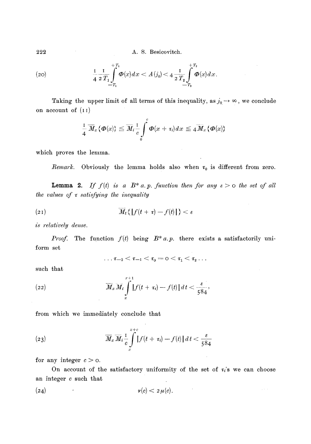222 A. S. Besicovitch.

(20) 
$$
\frac{1}{4} \frac{1}{2} \frac{T_1}{T_1} \int_{-T_1}^{+T_1} \Phi(x) dx < A(j_0) < 4 \frac{1}{2} \frac{T_2}{T_2} \int_{-T_2}^{+T_2} \Phi(x) dx
$$

Taking the upper limit of all terms of this inequality, as  $j_0 \rightarrow \infty$ , we conclude on account of  $(I)$ 

$$
\frac{1}{4}\overline{M}_x\{\boldsymbol{\Phi}(x)\}\leq \overline{M}_i\frac{1}{c}\int\limits_0^c\boldsymbol{\Phi}(x+\tau_i)dx\leq 4\overline{M}_x\{\boldsymbol{\Phi}(x)\}
$$

which proves the lemma.

*Remark.* Obviously the lemma holds also when  $\tau_0$  is different from zero.

**Lemma 2.** If  $f(t)$  is a  $B^*$  a.p. function then for any  $\varepsilon > 0$  the set of all *the values of*  $\tau$  *satisfying the inequality* 

$$
(21) \t\t \overline{M}_t \{ |f(t+\tau)-f(t)| \} < \epsilon
$$

*is relatively dense.* 

*Proof.* form set The function  $f(t)$  being  $B^* a.p.$  there exists a satisfactorily uni-

$$
\dots \tau_{-2} < \tau_{-1} < \tau_{0} = \text{0} < \tau_{1} < \tau_{2} \dots
$$

such that

(22) 
$$
\overline{M}_x \overline{M}_t \int_x^{x+1} |f(t + \tau_i) - f(t)| dt < \frac{\varepsilon}{584},
$$

from which we immediately conclude that

(23) 
$$
\overline{M}_x \overline{M}_i \frac{1}{c} \int\limits_x^{x+c} |f(t + \tau_i) - f(t)| dt < \frac{\varepsilon}{584}
$$

for any integer  $c > 0$ .

On account of the satisfactory uniformity of the set of  $\tau_i$ 's we can choose an integer c such that

 $\mathcal{L}_{\mathcal{A}}$ 

$$
v(c) < 2\,\mu(c).
$$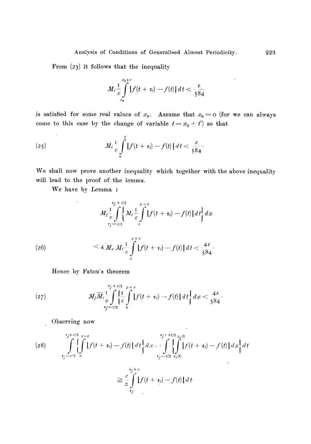From (23) it follows that the inequality

$$
M_{i}\frac{1}{c}\int\limits_{x_{0}}^{x_{0}+c}\left|f(t+\tau_{i})-f(t)\right|dt<\frac{\varepsilon}{584}
$$

is satisfied for some real values of  $x_0$ . Assume that  $x_0 = o$  (for we can always come to this case by the change of variable  $t = x_0 + t'$  so that

(25) 
$$
M_{i}\frac{1}{c}\int_{0}^{c} |f(t+\tau_{i})-f(t)| dt < \frac{\varepsilon}{584}.
$$

We shall now prove another inequality which together with the above inequality will lead to the proof of the lemma.

We have by Lemma I

$$
M_{j} \frac{1}{e} \int_{t-\epsilon/2}^{\epsilon/2} \left\{ M_{i} \frac{1}{e} \int_{x}^{x+\epsilon} |f(t+\tau_{i}) - f(t)| dt \right\} dx
$$
  
(26)  

$$
\leq 4 M_{\epsilon} M_{i} \frac{1}{e} \int_{x}^{x+\epsilon} |f(t+\tau_{i}) - f(t)| dt < \frac{4\epsilon}{584}.
$$

Hence by Fatou's theorem

(27) 
$$
M_j \overline{M}_i \frac{1}{c} \int_{\tau_j - c/2}^{\tau_j + c/2} \left\{ \frac{1}{c} \int_{x}^{\tau} |f(t + \tau_i) - f(t)| dt \right\} dx < \frac{4\epsilon}{584}.
$$

Observing now

(28) 
$$
\int_{\tau_j - c/2}^{\tau_j + c/2} \int_x^{\tau_j + c/2} f(t + \tau_i) - f(t) \, dt \, dt \, dt
$$
\n
$$
= \int_{\tau_j - c/2}^{\tau_j + 3c/2} \int_{x_1(t)}^{x_2(t)} \left[ \int_{\tau_j - c/2}^{\tau_j + c/2} f(t + \tau_i) - f(t) \, dt \right] dt
$$

$$
\geq \frac{c}{2}\int\limits_{\tau_j}^{\tau_j+\epsilon} \left|f(t+\tau_i)-f(t)\right|dt
$$

 $\ddot{\phantom{1}}$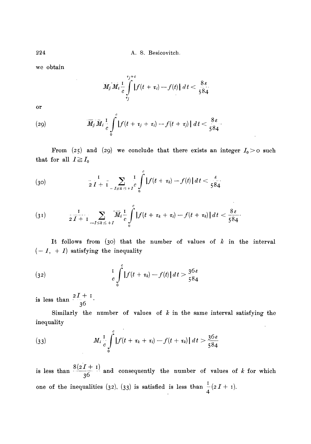224 A.S. Besicovitch.

we obtain

$$
M_j M_i \frac{1}{c} \int\limits_{\tau_j}^{\tau_j+c} |f(t+\tau_i)-f(t)| \ dt < \frac{8\,\varepsilon}{584}
$$

or

(29) 
$$
\overline{M}_j \overline{M}_i \frac{1}{c} \int_0^c |f(t + \tau_j + \tau_i) - f(t + \tau_j)| dt < \frac{8\epsilon}{584}.
$$

From (25) and (29) we conclude that there exists an integer  $I_0>0$  such that for all  $I \geq I_0$ 

(30) 
$$
\frac{1}{2 I + 1} \sum_{-I \leq k \leq +I} \frac{1}{c} \int_{0}^{c} |f(t + \tau_k) - f(t)| dt < \frac{\varepsilon}{584}
$$

$$
(31) \qquad \qquad \frac{1}{2\,I+1}\sum_{-I\leq k\,\leq\,+I}\overline{M}_{i}\frac{1}{c}\int\limits_{0}^{c}\left|f(t+\tau_{k}+\tau_{i})-f(t+\tau_{k})\right|dt<\frac{8\,\varepsilon}{584}.
$$

It follows from (30) that the number of values of  $k$  in the interval  $(-1, +1)$  satisfying the inequality

(32) 
$$
\frac{1}{c} \int_{0}^{c} |f(t + \tau_{k}) - f(t)| dt > \frac{36 \epsilon}{584}
$$

is less than  $\frac{2I+I}{36}$ 

Similarly the number of values of  $k$  in the same interval satisfying the inequality

(33) 
$$
M_i \frac{1}{c} \int_{0}^{c} |f(t + \tau_k + \tau_i) - f(t + \tau_k)| dt > \frac{36 \epsilon}{584}
$$

 $\Box$ 

is less than  $\frac{3(22-1)}{36}$  and consequently the number of values of k for which one of the inequalities (32), (33) is satisfied is less than  $\frac{1}{4}(2I+1)$ .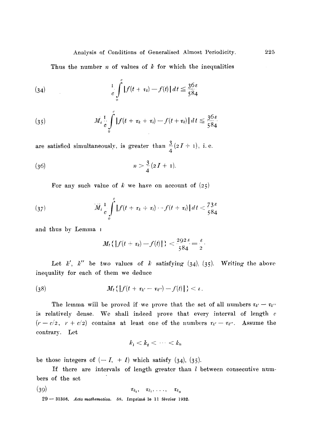Thus the number  $n$  of values of  $k$  for which the inequalities

(34) 
$$
\int_{0}^{1} \int_{0}^{c} |f(t + \tau_{k}) - f(t)| dt \leq \frac{36 \varepsilon}{584}
$$

(35) 
$$
M_t \frac{1}{c} \int_{0}^{c} |f(t + \tau_k + \tau_i) - f(t + \tau_k)| dt \leq \frac{36 \varepsilon}{584}
$$

are satisfied simultaneously, is greater than  $\frac{3}{2}(2I+1)$ , i.e. 4

(36) 
$$
n > \frac{3}{4}(2I + 1).
$$

For any such value of k we have on account of  $(25)$ 

(37) 
$$
\overline{M}_i \frac{1}{c} \int_0^c \left| f(t + \tau_k + \tau_i) - f(t + \tau_i) \right| dt < \frac{73}{584}
$$

and thus by Lemma I

$$
M_t\left\{\left|f(t+\tau_k)-f(t)\right|\right\}<\frac{292\,\varepsilon}{584}=\frac{\varepsilon}{2}.
$$

Let k', k'' be two values of k satisfying  $(34)$ ,  $(35)$ . Writing the above inequality for each of them we deduce

(38) 
$$
M_t \{ |f(t + \tau_{k'} - \tau_{k'}) - f(t)| \} < \epsilon.
$$

The lemma will be proved if we prove that the set of all numbers  $\tau_{k'} - \tau_{k''}$ is relatively dense. We shall indeed prove that every interval of length  $e$  $(r - c/2, r + c/2)$  contains at least one of the numbers  $\tau_{k'} - \tau_{k''}$ . Assume the contrary. Let

$$
k_1 < k_2 < \cdots < k_n
$$

be those integers of  $(-1, +1)$  which satisfy  $(34)$ ,  $(35)$ .

If there are intervals of length greater than  $l$  between consecutive numbers of the set

$$
(\textbf{39}) \quad \tau_{k_1}, \quad \tau_{k_2}, \ldots, \quad \tau_{k_n}
$$

29 - 31356. Acta mathematica. 58. Imprimé le 11 février 1932.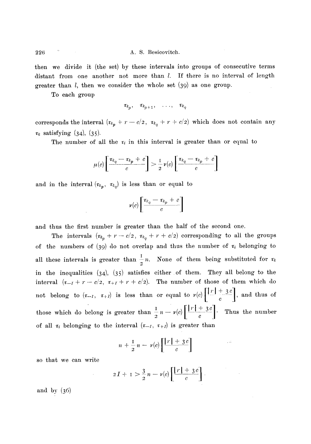then we divide it (the set) by these intervals into groups of consecutive terms distant from one another not more than *l*. If there is no interval of length greater than l, then we consider the whole set (39) as one group.

To each group

 $\tau_{k_p}, \quad \tau_{k_{p+1}}, \quad \ldots, \quad \tau_{k_q}$ 

corresponds the interval  $(\tau_{k_p} + r - c/2, \tau_{k_q} + r + c/2)$  which does not contain any  $\tau_k$  satisfying (34), (35).

The number of all the  $\tau_i$  in this interval is greater than or equal to

$$
\mu(c)\left[\frac{\tau_{k_q}-\tau_{k_p}+c}{c}\right] > \frac{1}{2}\,\nu(c)\left[\frac{\tau_{k_q}-\tau_{k_p}+c}{c}\right]
$$

and in the interval  $(\tau_{k_p}, \tau_{k_q})$  is less than or equal to

$$
\nu(c)\left[\frac{\tau_{k_q}-\tau_{k_p}+c}{c}\right]
$$

and thus the first number is greater than the half of the second one.

The intervals  $(r_{k_p} + r - c/2, r_{k_q} + r + c/2)$  corresponding to all the groups of the numbers of (39) do not overlap and thus the number of  $\tau_i$  belonging to all these intervals is greater than  $\frac{1}{2}n$ . None of them being substituted for  $\tau_k$ in the inequalities  $(34)$ ,  $(35)$  satisfies either of them. They all belong to the interval  $(\tau_{-1} + r - c/2, \tau_{+1} + r + c/2)$ . The number of those of them which do not belong to  $(\tau_{-1}, \tau_{+1})$  is less than or equal to  $\nu(c) \left[ \frac{|r| + 3c}{c} \right]$ , and thus of those which do belong is greater than  $-n - \nu(c)$   $\frac{1}{2}$   $\frac{1}{2}$  Thus the number of all  $\tau_i$  belonging to the interval  $(\tau_{-I}, \tau_{+I})$  is greater than

$$
n+\frac{1}{2}n-\nu(c)\left[\frac{|\,r\,|+3c}{c}\right]
$$

so that we can write

$$
2I + 1 > \frac{3}{2}n - \nu(c)\left[\frac{|\boldsymbol{r}| + 3\boldsymbol{c}}{c}\right].
$$

**and by (36)**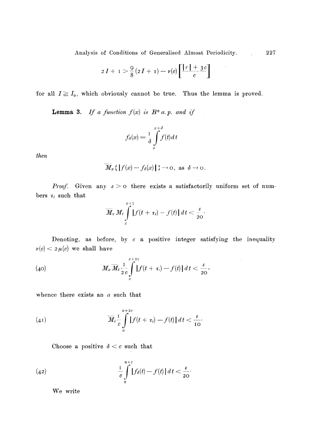Analysis of Conditions of Generalised Ahnost Periodicity. 227

$$
2I+1 > \frac{9}{8}(2I+1) - \nu(c)\left[\frac{|r|+3c}{c}\right]
$$

for all  $I \geq I_0$ , which obviously cannot be true. Thus the lemma is proved.

**Lemma 3.** *If a function*  $f(x)$  *is*  $B^*$  *a.p. and if* 

$$
f_{\delta}(x) = \frac{1}{\delta} \int\limits_{x}^{x+\delta} f(t) dt
$$

*then* 

$$
\overline{M}_x\left\{ \left| f(x) - f_\delta(x) \right| \right\} \to 0, \text{ as } \delta \to 0.
$$

*Proof.* Given any  $\epsilon > 0$  there exists a satisfactorily uniform set of numbers  $\tau_i$  such that

$$
\overline{M}_x M_t \int\limits_x^{x+1} |f(t+\tau_t)-f(t)|\,dt < \frac{\varepsilon}{20}.
$$

Denoting, as before, by  $c$  a positive integer satisfying the inequality  $\nu(c) < 2 \mu(c)$  we shall have

 $\hat{\boldsymbol{\theta}}$ 

(40) 
$$
M_x \overline{M}_t \frac{1}{2c} \int_{x}^{x+2c} |f(t + \tau) - f(t)| dt < \frac{\varepsilon}{20},
$$

whence there exists an a such that

(41) 
$$
\overline{M}_{i}\frac{1}{c}\int_{a}^{a+2c} |f(t+\tau_{i})-f(t)| dt < \frac{\varepsilon}{10}.
$$

Choose a positive  $\delta < c$  such that

(42) 
$$
\frac{1}{c} \int_{a}^{a+c} |f_{\delta}(t) - f(t)| dt < \frac{\varepsilon}{20}.
$$

We write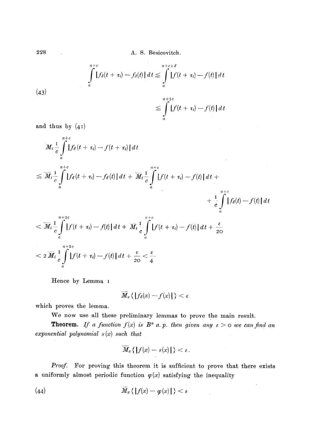**998 A. S. Besicovitch.** 

*ct* 

(43)  

$$
\int_{a}^{a+c} |f_{\delta}(t + \tau_{i}) - f_{\delta}(t)| dt \leq \int_{a}^{a+c+\delta} |f(t + \tau_{i}) - f(t)| dt
$$

$$
\leq \int_{a}^{a+2c} |f(t + \tau_{i}) - f(t)| dt
$$

**and thus by (4 I)** 

$$
M_{i}\frac{1}{c}\int_{a}^{a+c} \left|f_{\delta}(t+\tau_{i})-f(t+\tau_{i})\right|dt
$$
\n
$$
\leq \overline{M}_{i}\frac{1}{c}\int_{a}^{a+c} \left|f_{\delta}(t+\tau_{i})-f_{\delta}(t)\right|dt + \overline{M}_{i}\frac{1}{c}\int_{a}^{a+c} \left|f(t+\tau_{i})-f(t)\right|dt + \frac{1}{c}\int_{a}^{a+c} \left|f_{\delta}(t)-f(t)\right|dt
$$
\n
$$
< \overline{M}_{i}\frac{1}{c}\int_{a}^{a+2c} \left|f(t+\tau_{i})-f(t)\right|dt + \overline{M}_{i}\frac{1}{c}\int_{a}^{a+c} \left|f(t+\tau_{i})-f(t)\right|dt + \frac{\varepsilon}{20}
$$
\n
$$
< 2\overline{M}_{i}\frac{1}{c}\int_{a}^{a+2c} \left|f(t+\tau_{i})-f(t)\right|dt + \frac{\varepsilon}{20} < \frac{\varepsilon}{4}.
$$

**Hence by Lemma I** 

$$
\overline{M}_x \{ |f_\delta(x) - f(x)| \} < \varepsilon
$$

**which proves the lemma.** 

We now use all these preliminary lemmas to prove the main result.

**Theorem.** If a function  $f(x)$  is  $B^*$  a. p. then given any  $\varepsilon > 0$  we can find an *exponential polynomial s (x) such that* 

$$
\overline{M}_x\{\|f(x)-s(x)\|\}<\varepsilon.
$$

Proof. For proving this theorem it is sufficient to prove that there exists **a** uniformly almost periodic function  $\varphi(x)$  satisfying the inequality

(44) 
$$
\widetilde{M}_x\left\{|f(x)-g(x)|\right\} < \varepsilon
$$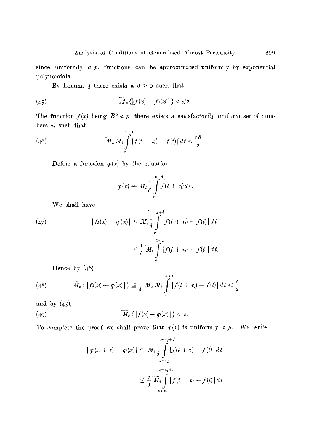**since uniformly a.p. functions can be approximated uniformly by exponential polynomials.** 

By Lemma 3 there exists a  $\delta > 0$  such that

(45) 
$$
\overline{M}_x\left\{ \left\{ f(x)-f_\delta(x) \right\} \right\}<\varepsilon/2.
$$

The function  $f(x)$  being  $B^* a$ , p. there exists a satisfactorily uniform set of numbers  $\tau_i$  such that

(46) 
$$
\overline{M}_x \overline{M}_t \int\limits_x^{x+1} |f(t+\tau_i)-f(t)| dt < \frac{\varepsilon \delta}{2}.
$$

Define a function  $\varphi(x)$  by the equation

$$
\varphi(x) = \overline{M}_i \frac{1}{\delta} \int\limits_x^{x+\delta} f(t + \tau_i) dt.
$$

**We shall have** 

 $\sim 10^7$ 

(47) 
$$
|f_{\delta}(x) - \varphi(x)| \leq \overline{M}_{i} \frac{1}{\delta} \int_{x}^{x+\delta} |f(t + \tau_{i}) - f(t)| dt
$$

$$
\leq \frac{1}{\delta} \overline{M}_{i} \int_{x}^{x+1} |f(t + \tau_{i}) - f(t)| dt.
$$

**Hence by (46)** 

(48) 
$$
\overline{M}_x \{ |f_{\theta}(x) - \varphi(x)| \} \leq \frac{1}{\delta} \overline{M}_x \overline{M}_i \int_x^{x+1} |f(t + \tau_i) - f(t)| dt < \frac{\varepsilon}{2}
$$

 $\sim$ 

**and by (45),** 

(49) 
$$
\overline{M}_x\left\{|f(x)-g(x)|\right\} < \varepsilon.
$$

To complete the proof we shall prove that  $\varphi(x)$  is uniformly *a.p.* We write

$$
|\varphi(x + \tau) - \varphi(x)| \leq \overline{M}_{i} \int_{x + \tau_{i}}^{x + \tau_{i} + \delta} |f(t + \tau) - f(t)| dt
$$
  

$$
\leq \frac{c}{\delta} \overline{M}_{i} \int_{x + \tau_{i}}^{x + \tau_{i} + c} |f(t + \tau) - f(t)| dt
$$

l,